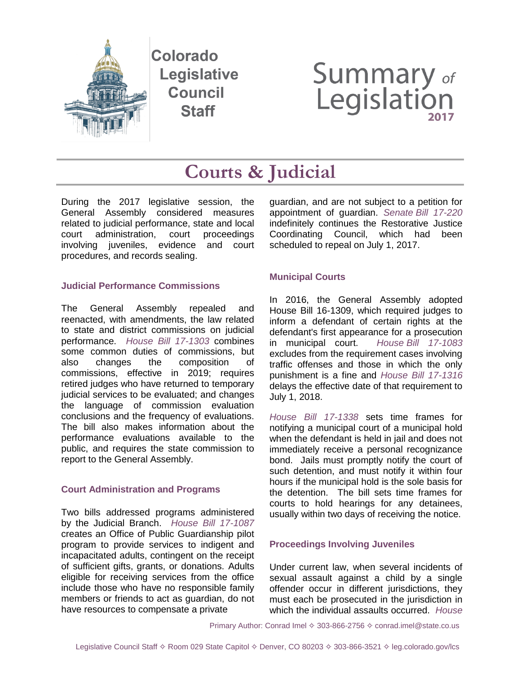

Colorado **Legislative Council Staff** 

# Summary of<br>Legislation

# **Courts & Judicial**

During the 2017 legislative session, the General Assembly considered measures related to judicial performance, state and local court administration, court proceedings involving juveniles, evidence and court procedures, and records sealing.

# **Judicial Performance Commissions**

The General Assembly repealed and reenacted, with amendments, the law related to state and district commissions on judicial performance. *[House Bill 17-1303](http://leg.colorado.gov/bills/hb17-1303)* combines some common duties of commissions, but also changes the composition of commissions, effective in 2019; requires retired judges who have returned to temporary judicial services to be evaluated; and changes the language of commission evaluation conclusions and the frequency of evaluations. The bill also makes information about the performance evaluations available to the public, and requires the state commission to report to the General Assembly.

# **Court Administration and Programs**

Two bills addressed programs administered by the Judicial Branch. *[House Bill 17-1087](http://leg.colorado.gov/bills/hb17-1087)* creates an Office of Public Guardianship pilot program to provide services to indigent and incapacitated adults, contingent on the receipt of sufficient gifts, grants, or donations. Adults eligible for receiving services from the office include those who have no responsible family members or friends to act as guardian, do not have resources to compensate a private

guardian, and are not subject to a petition for appointment of guardian. *Senate [Bill 17-220](http://leg.colorado.gov/bills/sb17-220)* indefinitely continues the Restorative Justice Coordinating Council, which had been scheduled to repeal on July 1, 2017.

# **Municipal Courts**

In 2016, the General Assembly adopted House Bill 16-1309, which required judges to inform a defendant of certain rights at the defendant's first appearance for a prosecution in municipal court. *House [Bill 17-1083](http://leg.colorado.gov/bills/hb17-1083)* excludes from the requirement cases involving traffic offenses and those in which the only punishment is a fine and *[House Bill 17-1316](http://leg.colorado.gov/bills/hb17-1316)* delays the effective date of that requirement to July 1, 2018.

*[House Bill 17-1338](http://leg.colorado.gov/bills/hb17-1338)* sets time frames for notifying a municipal court of a municipal hold when the defendant is held in jail and does not immediately receive a personal recognizance bond. Jails must promptly notify the court of such detention, and must notify it within four hours if the municipal hold is the sole basis for the detention. The bill sets time frames for courts to hold hearings for any detainees, usually within two days of receiving the notice.

# **Proceedings Involving Juveniles**

Under current law, when several incidents of sexual assault against a child by a single offender occur in different jurisdictions, they must each be prosecuted in the jurisdiction in which the individual assaults occurred. *[House](http://leg.colorado.gov/bills/hb17-1109)* 

Primary Author: Conrad Imel  $\diamond$  303-866-2756  $\diamond$  conrad.imel@state.co.us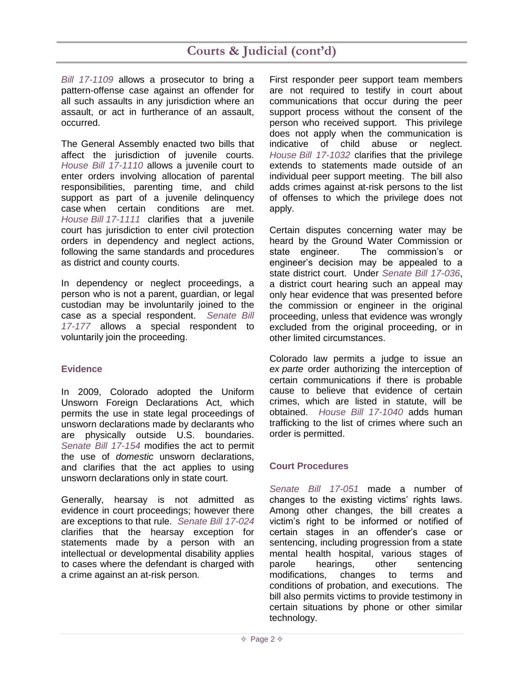# **Courts & Judicial (cont'd)**

*[Bill 17-1109](http://leg.colorado.gov/bills/hb17-1109)* allows a prosecutor to bring a pattern-offense case against an offender for all such assaults in any jurisdiction where an assault, or act in furtherance of an assault, occurred.

The General Assembly enacted two bills that affect the jurisdiction of juvenile courts. *[House Bill 17-1110](http://leg.colorado.gov/bills/hb17-1110)* allows a juvenile court to enter orders involving allocation of parental responsibilities, parenting time, and child support as part of a juvenile delinquency case when certain conditions are met. *House Bill [17-1111](http://leg.colorado.gov/bills/hb17-1111)* clarifies that a juvenile court has jurisdiction to enter civil protection orders in dependency and neglect actions, following the same standards and procedures as district and county courts.

In dependency or neglect proceedings, a person who is not a parent, guardian, or legal custodian may be involuntarily joined to the case as a special respondent. *[Senate Bill](http://leg.colorado.gov/bills/sb17-177)  [17-177](http://leg.colorado.gov/bills/sb17-177)* allows a special respondent to voluntarily join the proceeding.

### **Evidence**

In 2009, Colorado adopted the Uniform Unsworn Foreign Declarations Act, which permits the use in state legal proceedings of unsworn declarations made by declarants who are physically outside U.S. boundaries. *[Senate Bill 17-154](http://leg.colorado.gov/bills/sb17-154)* modifies the act to permit the use of *domestic* unsworn declarations, and clarifies that the act applies to using unsworn declarations only in state court.

Generally, hearsay is not admitted as evidence in court proceedings; however there are exceptions to that rule. *[Senate Bill 17-024](http://leg.colorado.gov/bills/sb17-024)* clarifies that the hearsay exception for statements made by a person with an intellectual or developmental disability applies to cases where the defendant is charged with a crime against an at-risk person.

First responder peer support team members are not required to testify in court about communications that occur during the peer support process without the consent of the person who received support. This privilege does not apply when the communication is indicative of child abuse or neglect. *House [Bill 17-1032](http://leg.colorado.gov/bills/hb17-1032)* clarifies that the privilege extends to statements made outside of an individual peer support meeting. The bill also adds crimes against at-risk persons to the list of offenses to which the privilege does not apply.

Certain disputes concerning water may be heard by the Ground Water Commission or state engineer. The commission's or engineer's decision may be appealed to a state district court. Under *[Senate Bill 17-036](http://leg.colorado.gov/bills/sb17-036)*, a district court hearing such an appeal may only hear evidence that was presented before the commission or engineer in the original proceeding, unless that evidence was wrongly excluded from the original proceeding, or in other limited circumstances.

Colorado law permits a judge to issue an *ex parte* order authorizing the interception of certain communications if there is probable cause to believe that evidence of certain crimes, which are listed in statute, will be obtained. *[House Bill 17-1040](http://leg.colorado.gov/bills/hb17-1040)* adds human trafficking to the list of crimes where such an order is permitted.

# **Court Procedures**

*[Senate Bill 17-051](http://leg.colorado.gov/bills/sb17-051)* made a number of changes to the existing victims' rights laws. Among other changes, the bill creates a victim's right to be informed or notified of certain stages in an offender's case or sentencing, including progression from a state mental health hospital, various stages of parole hearings, other sentencing modifications, changes to terms and conditions of probation, and executions. The bill also permits victims to provide testimony in certain situations by phone or other similar technology.